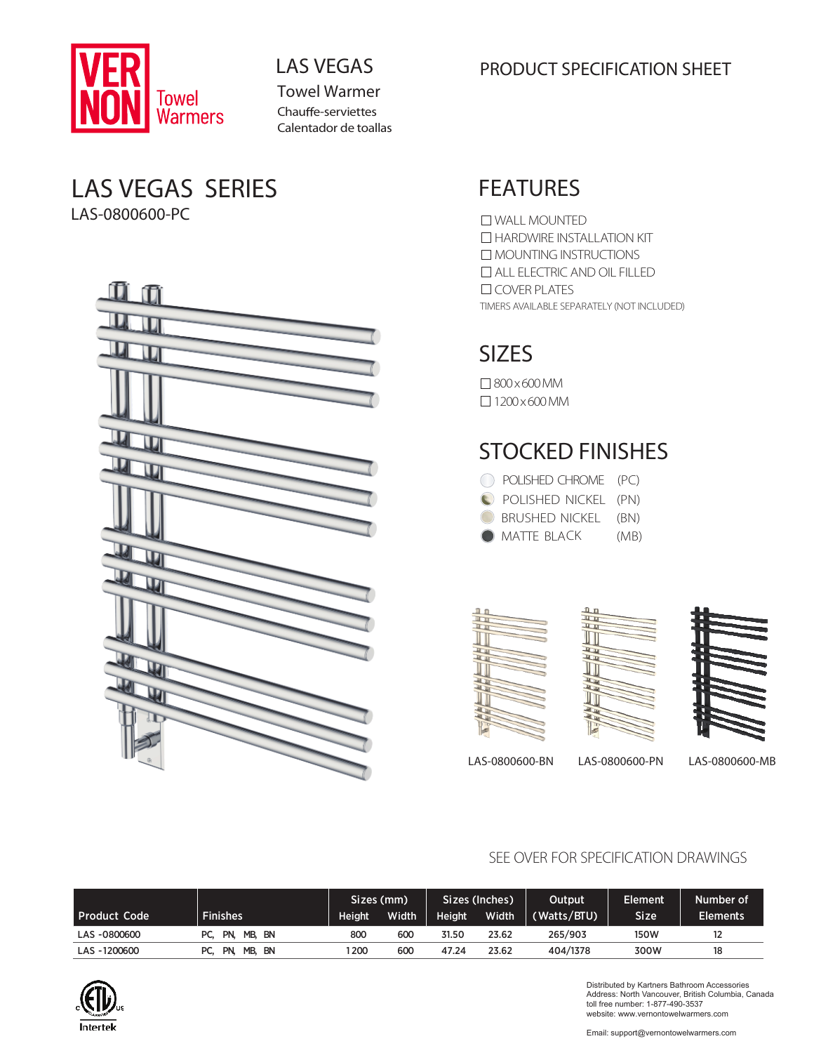

Towel Warmer Chauffe-serviettes Calentador de toallas

### LAS VEGAS SERIES LAS-0800600-PC



### LAS VEGAS **EXECUTE CONCLUST SPECIFICATION SHEET**

## FEATURES

TIMERS AVAILABLE SEPARATELY (NOT INCLUDED) WALL MOUNTED **HARDWIRE INSTALLATION KIT** MOUNTING INSTRUCTIONS ALL ELECTRIC AND OIL FILLED COVER PLATES

## SIZES

800x600MM  $\Box$  1200 x 600 MM

## STOCKED FINISHES

| C POLISHED CHROME (PC) |      |
|------------------------|------|
| POLISHED NICKEL (PN)   |      |
| BRUSHED NICKEL (BN)    |      |
| <b>O</b> MATTE BLACK   | (MB) |







LAS-0800600-BN LAS-0800600-PN LAS-0800600-MB

#### SEE OVER FOR SPECIFICATION DRAWINGS

|                     |                      | Sizes (mm) |       | Sizes (Inches) |       | Output      | <b>Element</b> | Number of       |
|---------------------|----------------------|------------|-------|----------------|-------|-------------|----------------|-----------------|
| <b>Product Code</b> | <b>Finishes</b>      | Height     | Width | Height         | Width | (Watts/BTU) | Size           | <b>Elements</b> |
| LAS -0800600        | PC. PN.<br>MB. BN    | 80C        | 600   | 31.50          | 23.62 | 265/903     | 150W           | 12              |
| LAS -1200600        | MB. BN<br>PN.<br>PC. | 200        | 600   | 47.24          | 23.62 | 404/1378    | 300W           | 18              |



Distributed by Kartners Bathroom Accessories Address: North Vancouver, British Columbia, Canada toll free number: 1-877-490-3537 website: www.vernontowelwarmers.com

Email: support@vernontowelwarmers.com